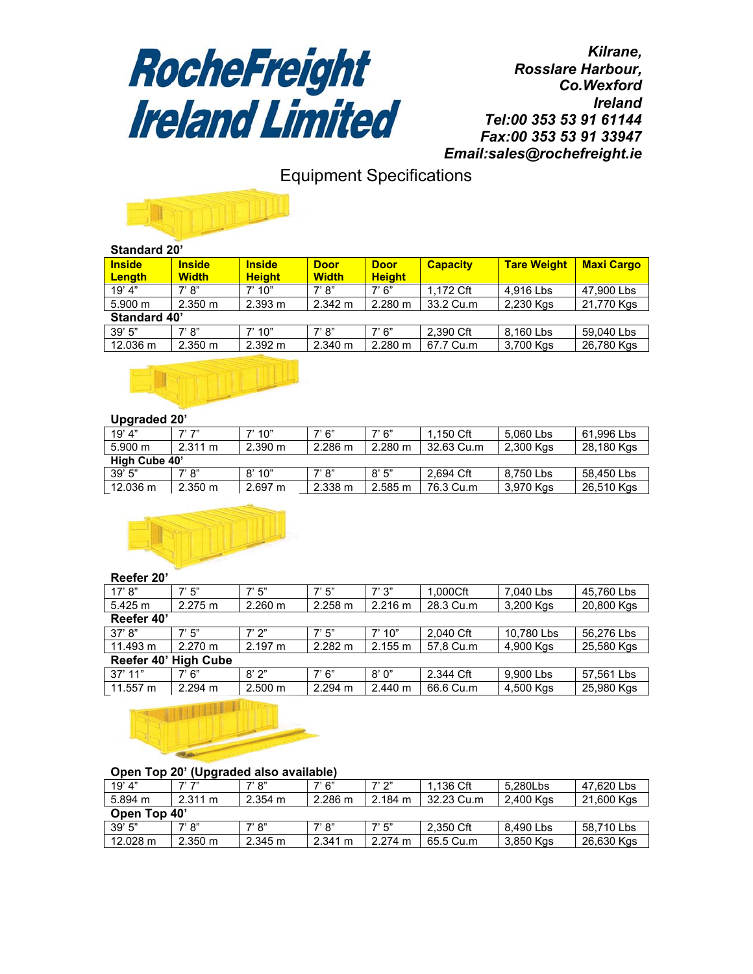

*Kilrane, Rosslare Harbour, Co.Wexford Ireland Tel:00 353 53 91 61144 Fax:00 353 53 91 33947 Email:sales@rochefreight.ie*

# Equipment Specifications



#### **Standard 20'**

| <b>Inside</b><br><b>Length</b> | <b>Inside</b><br><b>Width</b> | <b>Inside</b><br><b>Height</b> | <b>Door</b><br><b>Width</b> | <b>Door</b><br><b>Height</b> | <b>Capacity</b> | <b>Tare Weight</b> | <b>Maxi Cargo</b> |
|--------------------------------|-------------------------------|--------------------------------|-----------------------------|------------------------------|-----------------|--------------------|-------------------|
| 19' 4"                         | 7' 8"                         | 7' 10"                         | 7' 8''                      | 7' 6''                       | 1.172 Cft       | 4.916 Lbs          | 47.900 Lbs        |
| 5.900 m                        | 2.350 m                       | 2.393 m                        | 2.342 m                     | $2.280 \text{ m}$            | 33.2 Cu.m       | 2,230 Kgs          | 21,770 Kgs        |
| Standard 40'                   |                               |                                |                             |                              |                 |                    |                   |
| 39'5''                         | 7' 8''                        | 7' 10"                         | 7' 8''                      | 7'6''                        | 2.390 Cft       | 8,160 Lbs          | 59,040 Lbs        |
| 12.036 m                       | 2.350 m                       | 2.392 m                        | 2.340 m                     | $2.280 \text{ m}$            | 67.7 Cu.m       | 3,700 Kgs          | 26,780 Kgs        |
|                                |                               |                                |                             |                              |                 |                    |                   |



## **Upgraded 20'**

| 19' 4"            | ファファ              | 7'10''            | 7' 6''  | 7' 6''            | 1.150 Cft  | 5.060 Lbs | 61.996 Lbs |
|-------------------|-------------------|-------------------|---------|-------------------|------------|-----------|------------|
| $5.900 \text{ m}$ | $2.311 \text{ m}$ | 2.390 m           | 2.286 m | $2.280 \text{ m}$ | 32.63 Cu.m | 2,300 Kgs | 28,180 Kgs |
| High Cube 40'     |                   |                   |         |                   |            |           |            |
| 39'5''            | 7' 8''            | 8'10"             | 7' 8''  | 8'5''             | 2.694 Cft  | 8.750 Lbs | 58,450 Lbs |
| 12.036 m          | $2.350 \text{ m}$ | $2.697 \text{ m}$ | 2.338 m | 2.585 m           | 76.3 Cu.m  | 3,970 Kgs | 26,510 Kgs |



#### **Reefer 20'**

| 17' 8"               | 7'5''   | 7' 5"             | 7'5''   | 7'3''   | 1.000Cft  | 7.040 Lbs  | 45,760 Lbs |
|----------------------|---------|-------------------|---------|---------|-----------|------------|------------|
| 5.425 m              | 2.275 m | 2.260 m           | 2.258 m | 2.216 m | 28.3 Cu.m | 3,200 Kgs  | 20,800 Kgs |
| Reefer 40'           |         |                   |         |         |           |            |            |
| 37' 8''              | 7'5''   | 7' 2"             | 7'5''   | 7'10''  | 2.040 Cft | 10.780 Lbs | 56,276 Lbs |
| 11.493 m             | 2.270 m | 2.197 m           | 2.282 m | 2.155 m | 57,8 Cu.m | 4,900 Kgs  | 25,580 Kgs |
| Reefer 40' High Cube |         |                   |         |         |           |            |            |
| $37'$ 11"            | 7'6''   | 8'2"              | 7' 6''  | 8'0''   | 2.344 Cft | 9,900 Lbs  | 57,561 Lbs |
| 11.557 m             | 2.294 m | $2.500 \text{ m}$ | 2.294 m | 2.440 m | 66.6 Cu.m | 4,500 Kgs  | 25,980 Kgs |



|              | <b>UDELL LUD ZU</b><br>(Upyraueu also available) |                   |                   |                   |                   |             |           |            |  |
|--------------|--------------------------------------------------|-------------------|-------------------|-------------------|-------------------|-------------|-----------|------------|--|
|              | 19' 4"                                           | フ'フ"              | 7' 8''            | 7' 6"             | 7' 2"             | $1.136$ Cft | 5.280Lbs  | 47.620 Lbs |  |
|              | 5.894 m                                          | $2.311 \text{ m}$ | $2.354 \text{ m}$ | $2.286 \text{ m}$ | $2.184 \text{ m}$ | 32.23 Cu.m  | 2.400 Kgs | 21,600 Kgs |  |
| Open Top 40' |                                                  |                   |                   |                   |                   |             |           |            |  |
|              | 39'5''                                           | 7' 8''            | 7' 8"             | 7' 8''            | 7' 5"             | 2.350 Cft   | 8.490 Lbs | 58.710 Lbs |  |
|              | 12.028 m                                         | $2.350 \text{ m}$ | 2.345 m           | 2.341 m           | 2.274 m           | 65.5 Cu.m   | 3,850 Kgs | 26,630 Kgs |  |

## **Open Top 20' (Upgraded also available)**